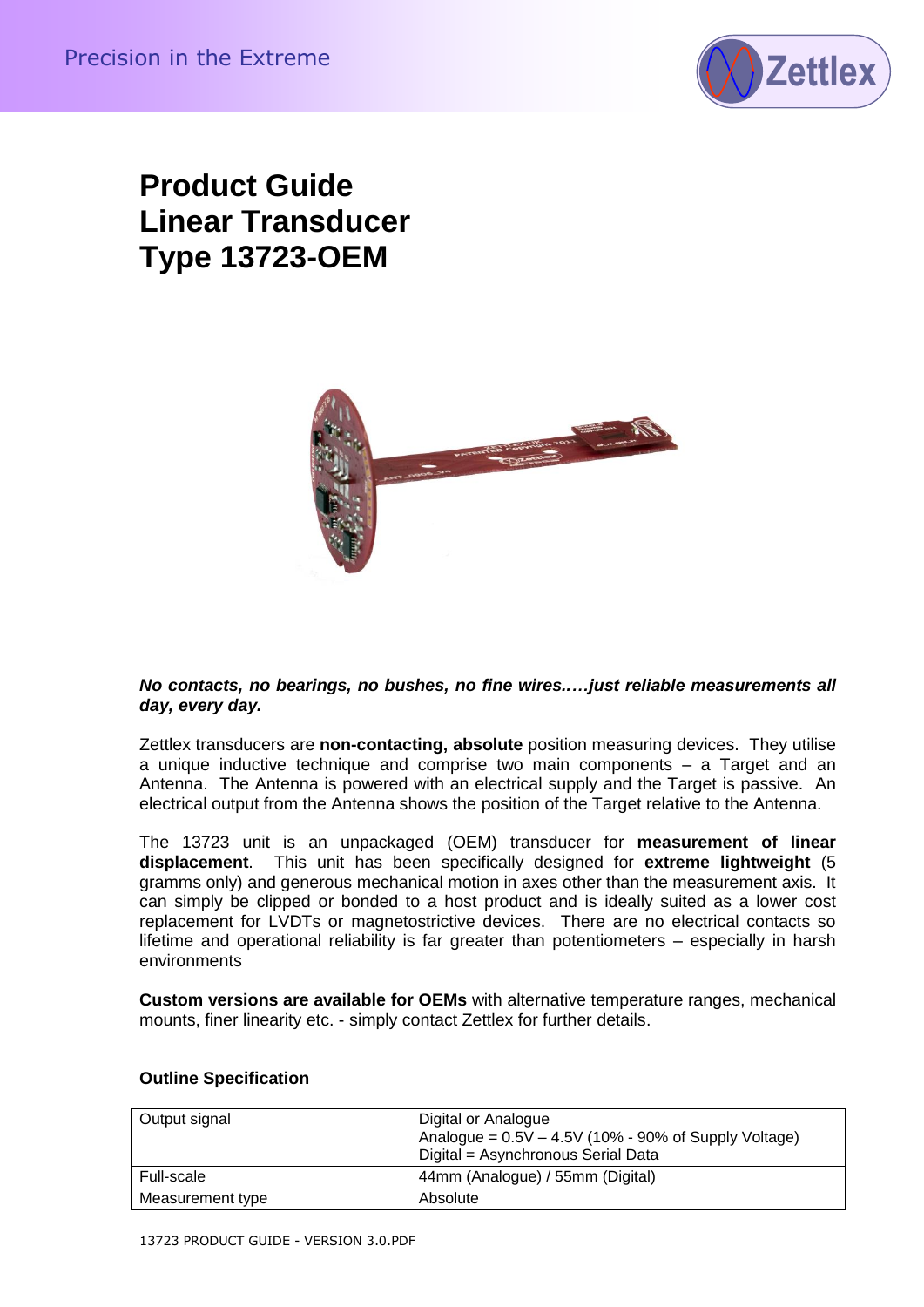

# **Product Guide Linear Transducer Type 13723-OEM**



#### *No contacts, no bearings, no bushes, no fine wires..…just reliable measurements all day, every day.*

Zettlex transducers are **non-contacting, absolute** position measuring devices. They utilise a unique inductive technique and comprise two main components – a Target and an Antenna. The Antenna is powered with an electrical supply and the Target is passive. An electrical output from the Antenna shows the position of the Target relative to the Antenna.

**Product Guide<br>
Type 13723-OEM**<br> **Contact Cuide - Version 3.0.**<br>
Modern Transducer Franche Contact Cuide - Version 3.0.<br>
Modern Contact Cuide - Version 3.0.<br>
Advertising the process are non-contacting absolute points on th The 13723 unit is an unpackaged (OEM) transducer for **measurement of linear displacement**. This unit has been specifically designed for **extreme lightweight** (5 gramms only) and generous mechanical motion in axes other than the measurement axis. It can simply be clipped or bonded to a host product and is ideally suited as a lower cost replacement for LVDTs or magnetostrictive devices. There are no electrical contacts so lifetime and operational reliability is far greater than potentiometers – especially in harsh environments

**Custom versions are available for OEMs** with alternative temperature ranges, mechanical mounts, finer linearity etc. - simply contact Zettlex for further details.

| Output signal    | Digital or Analogue<br>Analogue = $0.5V - 4.5V$ (10% - 90% of Supply Voltage)<br>Digital = Asynchronous Serial Data |
|------------------|---------------------------------------------------------------------------------------------------------------------|
| Full-scale       | 44mm (Analogue) / 55mm (Digital)                                                                                    |
| Measurement type | Absolute                                                                                                            |

## **Outline Specification**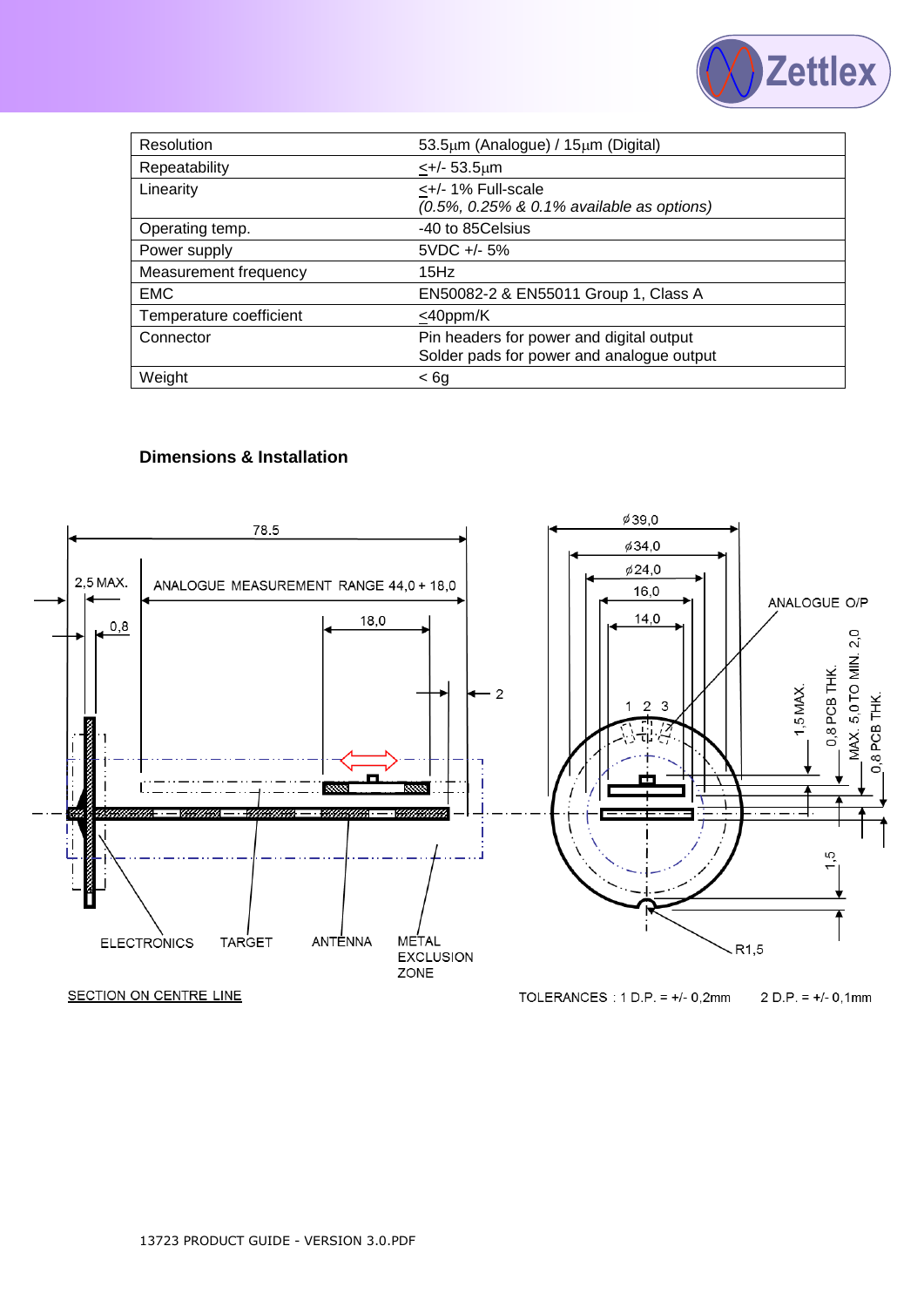

| Resolution              | 53.5µm (Analogue) / 15µm (Digital)                                                    |
|-------------------------|---------------------------------------------------------------------------------------|
| Repeatability           | $\leftarrow +/- 53.5 \mu m$                                                           |
| Linearity               | <+/- 1% Full-scale<br>(0.5%, 0.25% & 0.1% available as options)                       |
| Operating temp.         | -40 to 85Celsius                                                                      |
| Power supply            | $5VDC + -5\%$                                                                         |
| Measurement frequency   | 15Hz                                                                                  |
| <b>EMC</b>              | EN50082-2 & EN55011 Group 1, Class A                                                  |
| Temperature coefficient | $<$ 40ppm/K                                                                           |
| Connector               | Pin headers for power and digital output<br>Solder pads for power and analogue output |
| Weight                  | < 6g                                                                                  |

## **Dimensions & Installation**